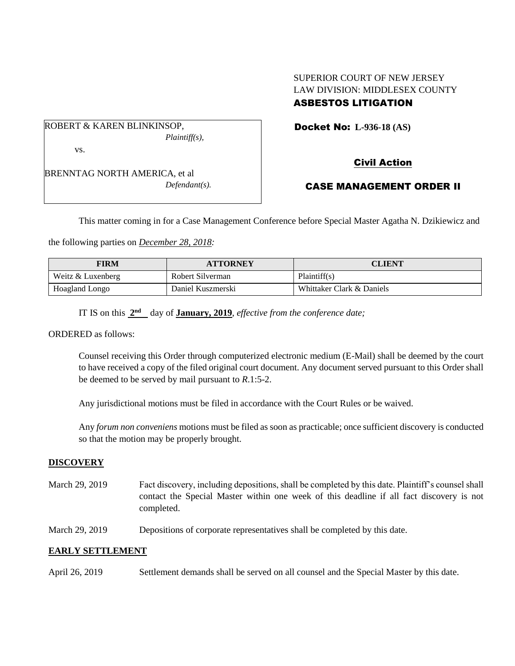# SUPERIOR COURT OF NEW JERSEY LAW DIVISION: MIDDLESEX COUNTY

## ASBESTOS LITIGATION

Docket No: **L-936-18 (AS)** 

ROBERT & KAREN BLINKINSOP, *Plaintiff(s),* vs.

BRENNTAG NORTH AMERICA, et al *Defendant(s).* Civil Action

## CASE MANAGEMENT ORDER II

This matter coming in for a Case Management Conference before Special Master Agatha N. Dzikiewicz and

the following parties on *December 28, 2018:*

| <b>FIRM</b>       | <b>ATTORNEY</b>   | CLIENT                    |
|-------------------|-------------------|---------------------------|
| Weitz & Luxenberg | Robert Silverman  | Plaintiff(s)              |
| Hoagland Longo    | Daniel Kuszmerski | Whittaker Clark & Daniels |

IT IS on this  $2^{nd}$  day of **January, 2019**, *effective from the conference date*;

ORDERED as follows:

Counsel receiving this Order through computerized electronic medium (E-Mail) shall be deemed by the court to have received a copy of the filed original court document. Any document served pursuant to this Order shall be deemed to be served by mail pursuant to *R*.1:5-2.

Any jurisdictional motions must be filed in accordance with the Court Rules or be waived.

Any *forum non conveniens* motions must be filed as soon as practicable; once sufficient discovery is conducted so that the motion may be properly brought.

## **DISCOVERY**

- March 29, 2019 Fact discovery, including depositions, shall be completed by this date. Plaintiff's counsel shall contact the Special Master within one week of this deadline if all fact discovery is not completed.
- March 29, 2019 Depositions of corporate representatives shall be completed by this date.

## **EARLY SETTLEMENT**

April 26, 2019 Settlement demands shall be served on all counsel and the Special Master by this date.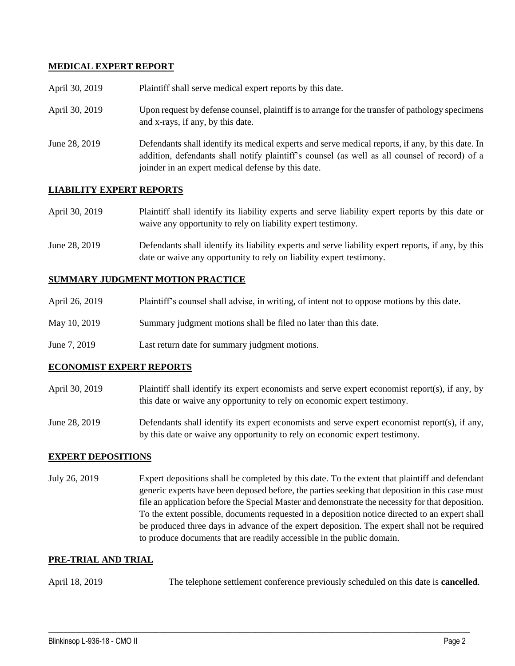### **MEDICAL EXPERT REPORT**

| April 30, 2019 | Plaintiff shall serve medical expert reports by this date.                                                                                                                                                                                               |
|----------------|----------------------------------------------------------------------------------------------------------------------------------------------------------------------------------------------------------------------------------------------------------|
| April 30, 2019 | Upon request by defense counsel, plaintiff is to arrange for the transfer of pathology specimens<br>and x-rays, if any, by this date.                                                                                                                    |
| June 28, 2019  | Defendants shall identify its medical experts and serve medical reports, if any, by this date. In<br>addition, defendants shall notify plaintiff's counsel (as well as all counsel of record) of a<br>joinder in an expert medical defense by this date. |

## **LIABILITY EXPERT REPORTS**

| April 30, 2019 | Plaintiff shall identify its liability experts and serve liability expert reports by this date or |
|----------------|---------------------------------------------------------------------------------------------------|
|                | waive any opportunity to rely on liability expert testimony.                                      |

June 28, 2019 Defendants shall identify its liability experts and serve liability expert reports, if any, by this date or waive any opportunity to rely on liability expert testimony.

#### **SUMMARY JUDGMENT MOTION PRACTICE**

| April 26, 2019 | Plaintiff's counsel shall advise, in writing, of intent not to oppose motions by this date. |
|----------------|---------------------------------------------------------------------------------------------|
| May 10, 2019   | Summary judgment motions shall be filed no later than this date.                            |
| June 7, 2019   | Last return date for summary judgment motions.                                              |

#### **ECONOMIST EXPERT REPORTS**

April 30, 2019 Plaintiff shall identify its expert economists and serve expert economist report(s), if any, by this date or waive any opportunity to rely on economic expert testimony.

June 28, 2019 Defendants shall identify its expert economists and serve expert economist report(s), if any, by this date or waive any opportunity to rely on economic expert testimony.

#### **EXPERT DEPOSITIONS**

July 26, 2019 Expert depositions shall be completed by this date. To the extent that plaintiff and defendant generic experts have been deposed before, the parties seeking that deposition in this case must file an application before the Special Master and demonstrate the necessity for that deposition. To the extent possible, documents requested in a deposition notice directed to an expert shall be produced three days in advance of the expert deposition. The expert shall not be required to produce documents that are readily accessible in the public domain.

#### **PRE-TRIAL AND TRIAL**

April 18, 2019 The telephone settlement conference previously scheduled on this date is **cancelled**.

 $\_$  ,  $\_$  ,  $\_$  ,  $\_$  ,  $\_$  ,  $\_$  ,  $\_$  ,  $\_$  ,  $\_$  ,  $\_$  ,  $\_$  ,  $\_$  ,  $\_$  ,  $\_$  ,  $\_$  ,  $\_$  ,  $\_$  ,  $\_$  ,  $\_$  ,  $\_$  ,  $\_$  ,  $\_$  ,  $\_$  ,  $\_$  ,  $\_$  ,  $\_$  ,  $\_$  ,  $\_$  ,  $\_$  ,  $\_$  ,  $\_$  ,  $\_$  ,  $\_$  ,  $\_$  ,  $\_$  ,  $\_$  ,  $\_$  ,